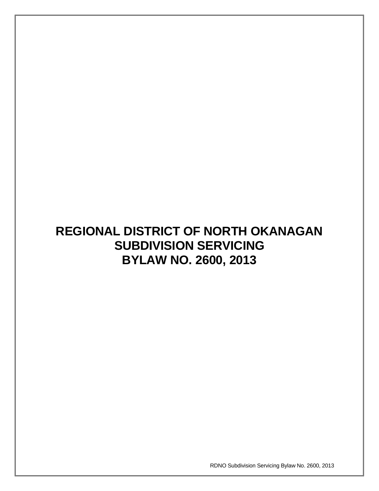# **REGIONAL DISTRICT OF NORTH OKANAGAN SUBDIVISION SERVICING BYLAW NO. 2600, 2013**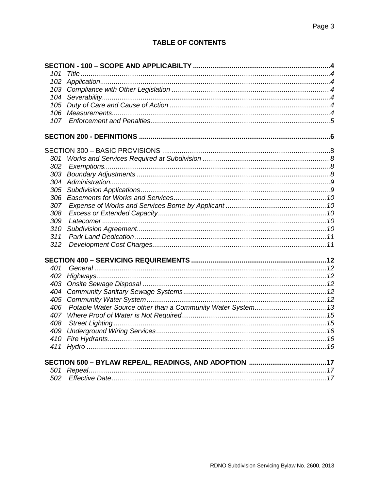# **TABLE OF CONTENTS**

| 101 |  |
|-----|--|
| 102 |  |
| 103 |  |
|     |  |
| 105 |  |
| 106 |  |
| 107 |  |
|     |  |
|     |  |
| 301 |  |
| 302 |  |
| 303 |  |
| 304 |  |
| 305 |  |
| 306 |  |
| 307 |  |
| 308 |  |
| 309 |  |
| 310 |  |
| 311 |  |
| 312 |  |
|     |  |
| 401 |  |
| 402 |  |
| 403 |  |
| 404 |  |
| 405 |  |
| 406 |  |
| 407 |  |
| 408 |  |
| 409 |  |
| 410 |  |
| 411 |  |
|     |  |
| 501 |  |
| 502 |  |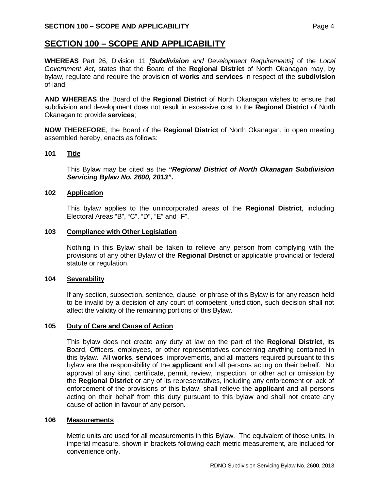# **SECTION 100 – SCOPE AND APPLICABILITY**

**WHEREAS** Part 26, Division 11 *[Subdivision and Development Requirements]* of the *Local Government Act*, states that the Board of the **Regional District** of North Okanagan may, by bylaw, regulate and require the provision of **works** and **services** in respect of the **subdivision** of land;

**AND WHEREAS** the Board of the **Regional District** of North Okanagan wishes to ensure that subdivision and development does not result in excessive cost to the **Regional District** of North Okanagan to provide **services**;

**NOW THEREFORE**, the Board of the **Regional District** of North Okanagan, in open meeting assembled hereby, enacts as follows:

# **101 Title**

This Bylaw may be cited as the *"Regional District of North Okanagan Subdivision Servicing Bylaw No. 2600, 2013"***.** 

# **102 Application**

This bylaw applies to the unincorporated areas of the **Regional District**, including Electoral Areas "B", "C", "D", "E" and "F".

# **103 Compliance with Other Legislation**

Nothing in this Bylaw shall be taken to relieve any person from complying with the provisions of any other Bylaw of the **Regional District** or applicable provincial or federal statute or regulation.

# **104 Severability**

If any section, subsection, sentence, clause, or phrase of this Bylaw is for any reason held to be invalid by a decision of any court of competent jurisdiction, such decision shall not affect the validity of the remaining portions of this Bylaw.

# **105 Duty of Care and Cause of Action**

This bylaw does not create any duty at law on the part of the **Regional District**, its Board, Officers, employees, or other representatives concerning anything contained in this bylaw. All **works**, **services**, improvements, and all matters required pursuant to this bylaw are the responsibility of the **applicant** and all persons acting on their behalf. No approval of any kind, certificate, permit, review, inspection, or other act or omission by the **Regional District** or any of its representatives, including any enforcement or lack of enforcement of the provisions of this bylaw, shall relieve the **applicant** and all persons acting on their behalf from this duty pursuant to this bylaw and shall not create any cause of action in favour of any person.

# **106 Measurements**

Metric units are used for all measurements in this Bylaw. The equivalent of those units, in imperial measure, shown in brackets following each metric measurement, are included for convenience only.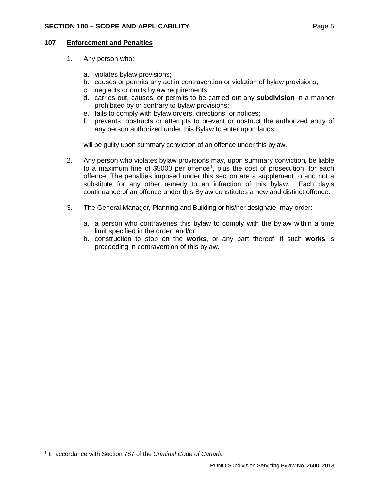#### **107 Enforcement and Penalties**

- 1. Any person who:
	- a. violates bylaw provisions;
	- b. causes or permits any act in contravention or violation of bylaw provisions;
	- c. neglects or omits bylaw requirements;
	- d. carries out, causes, or permits to be carried out any **subdivision** in a manner prohibited by or contrary to bylaw provisions;
	- e. fails to comply with bylaw orders, directions, or notices;
	- f. prevents, obstructs or attempts to prevent or obstruct the authorized entry of any person authorized under this Bylaw to enter upon lands;

will be guilty upon summary conviction of an offence under this bylaw.

- 2. Any person who violates bylaw provisions may, upon summary conviction, be liable to a maximum fine of \$5000 per offence<sup>[1](#page-4-0)</sup>, plus the cost of prosecution, for each offence. The penalties imposed under this section are a supplement to and not a substitute for any other remedy to an infraction of this bylaw. Each day's continuance of an offence under this Bylaw constitutes a new and distinct offence.
- 3. The General Manager, Planning and Building or his/her designate, may order:
	- a. a person who contravenes this bylaw to comply with the bylaw within a time limit specified in the order; and/or
	- b. construction to stop on the **works**, or any part thereof, if such **works** is proceeding in contravention of this bylaw.

 $\overline{a}$ 

<span id="page-4-0"></span><sup>1</sup> In accordance with Section 787 of the *Criminal Code of Canada*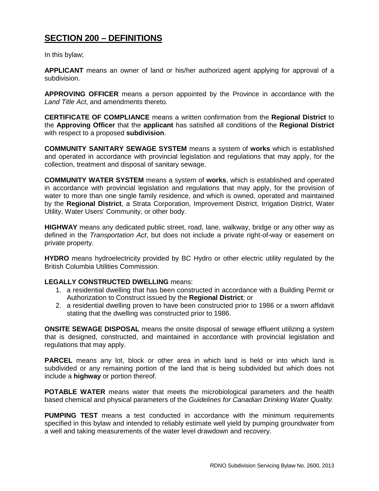# **SECTION 200 – DEFINITIONS**

In this bylaw;

**APPLICANT** means an owner of land or his/her authorized agent applying for approval of a subdivision.

**APPROVING OFFICER** means a person appointed by the Province in accordance with the *Land Title Act*, and amendments thereto*.* 

**CERTIFICATE OF COMPLIANCE** means a written confirmation from the **Regional District** to the **Approving Officer** that the **applicant** has satisfied all conditions of the **Regional District** with respect to a proposed **subdivision**.

**COMMUNITY SANITARY SEWAGE SYSTEM** means a system of **works** which is established and operated in accordance with provincial legislation and regulations that may apply, for the collection, treatment and disposal of sanitary sewage.

**COMMUNITY WATER SYSTEM** means a system of **works**, which is established and operated in accordance with provincial legislation and regulations that may apply, for the provision of water to more than one single family residence, and which is owned, operated and maintained by the **Regional District**, a Strata Corporation, Improvement District, Irrigation District, Water Utility, Water Users' Community, or other body.

**HIGHWAY** means any dedicated public street, road, lane, walkway, bridge or any other way as defined in the *Transportation Act*, but does not include a private right-of-way or easement on private property.

**HYDRO** means hydroelectricity provided by BC Hydro or other electric utility regulated by the British Columbia Utilities Commission.

# **LEGALLY CONSTRUCTED DWELLING** means:

- 1. a residential dwelling that has been constructed in accordance with a Building Permit or Authorization to Construct issued by the **Regional District**; or
- 2. a residential dwelling proven to have been constructed prior to 1986 or a sworn affidavit stating that the dwelling was constructed prior to 1986.

**ONSITE SEWAGE DISPOSAL** means the onsite disposal of sewage effluent utilizing a system that is designed, constructed, and maintained in accordance with provincial legislation and regulations that may apply.

**PARCEL** means any lot, block or other area in which land is held or into which land is subdivided or any remaining portion of the land that is being subdivided but which does not include a **highway** or portion thereof.

**POTABLE WATER** means water that meets the microbiological parameters and the health based chemical and physical parameters of the *Guidelines for Canadian Drinking Water Quality.*

**PUMPING TEST** means a test conducted in accordance with the minimum requirements specified in this bylaw and intended to reliably estimate well yield by pumping groundwater from a well and taking measurements of the water level drawdown and recovery.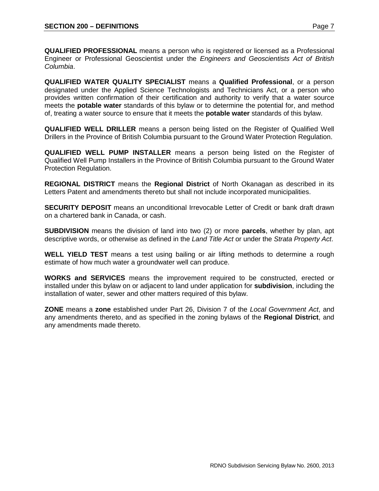**QUALIFIED PROFESSIONAL** means a person who is registered or licensed as a Professional Engineer or Professional Geoscientist under the *Engineers and Geoscientists Act of British Columbia*.

**QUALIFIED WATER QUALITY SPECIALIST** means a **Qualified Professional**, or a person designated under the Applied Science Technologists and Technicians Act, or a person who provides written confirmation of their certification and authority to verify that a water source meets the **potable water** standards of this bylaw or to determine the potential for, and method of, treating a water source to ensure that it meets the **potable water** standards of this bylaw.

**QUALIFIED WELL DRILLER** means a person being listed on the Register of Qualified Well Drillers in the Province of British Columbia pursuant to the Ground Water Protection Regulation.

**QUALIFIED WELL PUMP INSTALLER** means a person being listed on the Register of Qualified Well Pump Installers in the Province of British Columbia pursuant to the Ground Water Protection Regulation.

**REGIONAL DISTRICT** means the **Regional District** of North Okanagan as described in its Letters Patent and amendments thereto but shall not include incorporated municipalities.

**SECURITY DEPOSIT** means an unconditional Irrevocable Letter of Credit or bank draft drawn on a chartered bank in Canada, or cash.

**SUBDIVISION** means the division of land into two (2) or more **parcels**, whether by plan, apt descriptive words, or otherwise as defined in the *Land Title Act* or under the *Strata Property Act*.

**WELL YIELD TEST** means a test using bailing or air lifting methods to determine a rough estimate of how much water a groundwater well can produce.

**WORKS and SERVICES** means the improvement required to be constructed, erected or installed under this bylaw on or adjacent to land under application for **subdivision**, including the installation of water, sewer and other matters required of this bylaw.

**ZONE** means a **zone** established under Part 26, Division 7 of the *Local Government Act*, and any amendments thereto, and as specified in the zoning bylaws of the **Regional District**, and any amendments made thereto.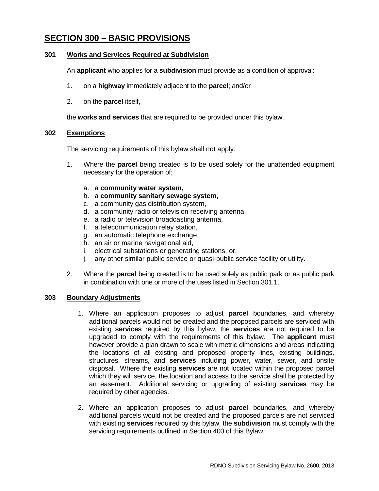# **SECTION 300 – BASIC PROVISIONS**

# **301 Works and Services Required at Subdivision**

An **applicant** who applies for a **subdivision** must provide as a condition of approval:

- 1. on a **highway** immediately adjacent to the **parcel**; and/or
- 2. on the **parcel** itself,

the **works and services** that are required to be provided under this bylaw.

# **302 Exemptions**

The servicing requirements of this bylaw shall not apply:

- 1. Where the **parcel** being created is to be used solely for the unattended equipment necessary for the operation of;
	- a. a **community water system,**
	- b. a **community sanitary sewage system**,
	- c. a community gas distribution system,
	- d. a community radio or television receiving antenna,
	- e. a radio or television broadcasting antenna,
	- f. a telecommunication relay station,
	- g. an automatic telephone exchange,
	- h. an air or marine navigational aid,
	- i. electrical substations or generating stations, or,
	- j. any other similar public service or quasi-public service facility or utility.
- 2. Where the **parcel** being created is to be used solely as public park or as public park in combination with one or more of the uses listed in Section 301.1.

# **303 Boundary Adjustments**

- 1. Where an application proposes to adjust **parcel** boundaries, and whereby additional parcels would not be created and the proposed parcels are serviced with existing **services** required by this bylaw, the **services** are not required to be upgraded to comply with the requirements of this bylaw. The **applicant** must however provide a plan drawn to scale with metric dimensions and areas indicating the locations of all existing and proposed property lines, existing buildings, structures, streams, and **services** including power, water, sewer, and onsite disposal. Where the existing **services** are not located within the proposed parcel which they will service, the location and access to the service shall be protected by an easement. Additional servicing or upgrading of existing **services** may be required by other agencies.
- 2. Where an application proposes to adjust **parcel** boundaries, and whereby additional parcels would not be created and the proposed parcels are not serviced with existing **services** required by this bylaw, the **subdivision** must comply with the servicing requirements outlined in Section 400 of this Bylaw.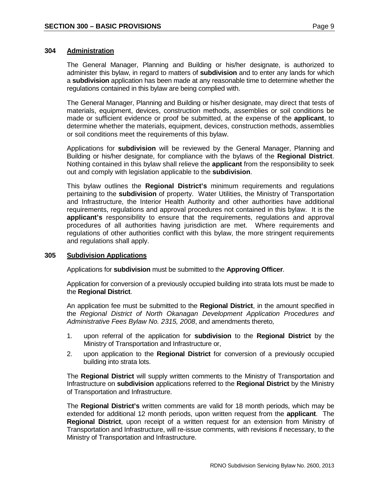# **304 Administration**

The General Manager, Planning and Building or his/her designate, is authorized to administer this bylaw, in regard to matters of **subdivision** and to enter any lands for which a **subdivision** application has been made at any reasonable time to determine whether the regulations contained in this bylaw are being complied with.

The General Manager, Planning and Building or his/her designate, may direct that tests of materials, equipment, devices, construction methods, assemblies or soil conditions be made or sufficient evidence or proof be submitted, at the expense of the **applicant**, to determine whether the materials, equipment, devices, construction methods, assemblies or soil conditions meet the requirements of this bylaw.

Applications for **subdivision** will be reviewed by the General Manager, Planning and Building or his/her designate, for compliance with the bylaws of the **Regional District**. Nothing contained in this bylaw shall relieve the **applicant** from the responsibility to seek out and comply with legislation applicable to the **subdivision**.

This bylaw outlines the **Regional District's** minimum requirements and regulations pertaining to the **subdivision** of property. Water Utilities, the Ministry of Transportation and Infrastructure, the Interior Health Authority and other authorities have additional requirements, regulations and approval procedures not contained in this bylaw. It is the **applicant's** responsibility to ensure that the requirements, regulations and approval procedures of all authorities having jurisdiction are met. Where requirements and regulations of other authorities conflict with this bylaw, the more stringent requirements and regulations shall apply.

#### **305 Subdivision Applications**

Applications for **subdivision** must be submitted to the **Approving Officer**.

Application for conversion of a previously occupied building into strata lots must be made to the **Regional District**.

An application fee must be submitted to the **Regional District**, in the amount specified in the *Regional District of North Okanagan Development Application Procedures and Administrative Fees Bylaw No. 2315, 2008*, and amendments thereto,

- 1. upon referral of the application for **subdivision** to the **Regional District** by the Ministry of Transportation and Infrastructure or,
- 2. upon application to the **Regional District** for conversion of a previously occupied building into strata lots.

The **Regional District** will supply written comments to the Ministry of Transportation and Infrastructure on **subdivision** applications referred to the **Regional District** by the Ministry of Transportation and Infrastructure.

The **Regional District's** written comments are valid for 18 month periods, which may be extended for additional 12 month periods, upon written request from the **applicant**. The **Regional District**, upon receipt of a written request for an extension from Ministry of Transportation and Infrastructure, will re-issue comments, with revisions if necessary, to the Ministry of Transportation and Infrastructure.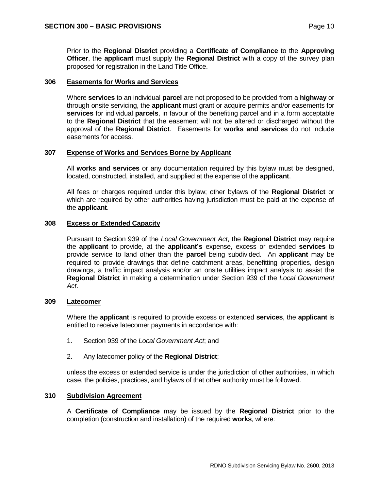Prior to the **Regional District** providing a **Certificate of Compliance** to the **Approving Officer**, the **applicant** must supply the **Regional District** with a copy of the survey plan proposed for registration in the Land Title Office.

#### **306 Easements for Works and Services**

Where **services** to an individual **parcel** are not proposed to be provided from a **highway** or through onsite servicing, the **applicant** must grant or acquire permits and/or easements for **services** for individual **parcels**, in favour of the benefiting parcel and in a form acceptable to the **Regional District** that the easement will not be altered or discharged without the approval of the **Regional District**. Easements for **works and services** do not include easements for access.

#### **307 Expense of Works and Services Borne by Applicant**

All **works and services** or any documentation required by this bylaw must be designed, located, constructed, installed, and supplied at the expense of the **applicant**.

All fees or charges required under this bylaw; other bylaws of the **Regional District** or which are required by other authorities having jurisdiction must be paid at the expense of the **applicant**.

#### **308 Excess or Extended Capacity**

Pursuant to Section 939 of the *Local Government Act*, the **Regional District** may require the **applicant** to provide, at the **applicant's** expense, excess or extended **services** to provide service to land other than the **parcel** being subdivided. An **applicant** may be required to provide drawings that define catchment areas, benefitting properties, design drawings, a traffic impact analysis and/or an onsite utilities impact analysis to assist the **Regional District** in making a determination under Section 939 of the *Local Government Act*.

#### **309 Latecomer**

Where the **applicant** is required to provide excess or extended **services**, the **applicant** is entitled to receive latecomer payments in accordance with:

- 1. Section 939 of the *Local Government Act*; and
- 2. Any latecomer policy of the **Regional District**;

unless the excess or extended service is under the jurisdiction of other authorities, in which case, the policies, practices, and bylaws of that other authority must be followed.

# **310 Subdivision Agreement**

A **Certificate of Compliance** may be issued by the **Regional District** prior to the completion (construction and installation) of the required **works**, where: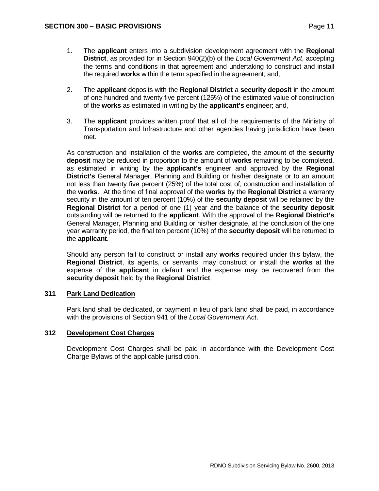- 1. The **applicant** enters into a subdivision development agreement with the **Regional District**, as provided for in Section 940(2)(b) of the *Local Government Act*, accepting the terms and conditions in that agreement and undertaking to construct and install the required **works** within the term specified in the agreement; and,
- 2. The **applicant** deposits with the **Regional District** a **security deposit** in the amount of one hundred and twenty five percent (125%) of the estimated value of construction of the **works** as estimated in writing by the **applicant's** engineer; and,
- 3. The **applicant** provides written proof that all of the requirements of the Ministry of Transportation and Infrastructure and other agencies having jurisdiction have been met.

As construction and installation of the **works** are completed, the amount of the **security deposit** may be reduced in proportion to the amount of **works** remaining to be completed, as estimated in writing by the **applicant's** engineer and approved by the **Regional District's** General Manager, Planning and Building or his/her designate or to an amount not less than twenty five percent (25%) of the total cost of, construction and installation of the **works**. At the time of final approval of the **works** by the **Regional District** a warranty security in the amount of ten percent (10%) of the **security deposit** will be retained by the **Regional District** for a period of one (1) year and the balance of the **security deposit** outstanding will be returned to the **applicant**. With the approval of the **Regional District's** General Manager, Planning and Building or his/her designate, at the conclusion of the one year warranty period, the final ten percent (10%) of the **security deposit** will be returned to the **applicant**.

Should any person fail to construct or install any **works** required under this bylaw, the **Regional District**, its agents, or servants, may construct or install the **works** at the expense of the **applicant** in default and the expense may be recovered from the **security deposit** held by the **Regional District**.

# **311 Park Land Dedication**

Park land shall be dedicated, or payment in lieu of park land shall be paid, in accordance with the provisions of Section 941 of the *Local Government Act*.

# **312 Development Cost Charges**

Development Cost Charges shall be paid in accordance with the Development Cost Charge Bylaws of the applicable jurisdiction.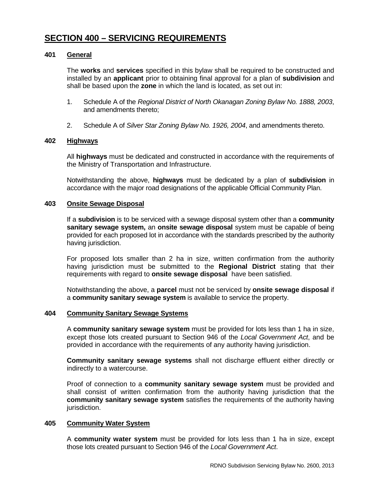# **SECTION 400 – SERVICING REQUIREMENTS**

# **401 General**

The **works** and **services** specified in this bylaw shall be required to be constructed and installed by an **applicant** prior to obtaining final approval for a plan of **subdivision** and shall be based upon the **zone** in which the land is located, as set out in:

- 1. Schedule A of the *Regional District of North Okanagan Zoning Bylaw No. 1888, 2003*, and amendments thereto;
- 2. Schedule A of *Silver Star Zoning Bylaw No. 1926, 2004*, and amendments thereto.

# **402 Highways**

All **highways** must be dedicated and constructed in accordance with the requirements of the Ministry of Transportation and Infrastructure.

Notwithstanding the above, **highways** must be dedicated by a plan of **subdivision** in accordance with the major road designations of the applicable Official Community Plan.

#### **403 Onsite Sewage Disposal**

If a **subdivision** is to be serviced with a sewage disposal system other than a **community sanitary sewage system,** an **onsite sewage disposal** system must be capable of being provided for each proposed lot in accordance with the standards prescribed by the authority having jurisdiction.

For proposed lots smaller than 2 ha in size, written confirmation from the authority having jurisdiction must be submitted to the **Regional District** stating that their requirements with regard to **onsite sewage disposal** have been satisfied.

Notwithstanding the above, a **parcel** must not be serviced by **onsite sewage disposal** if a **community sanitary sewage system** is available to service the property.

#### **404 Community Sanitary Sewage Systems**

A **community sanitary sewage system** must be provided for lots less than 1 ha in size, except those lots created pursuant to Section 946 of the *Local Government Act*, and be provided in accordance with the requirements of any authority having jurisdiction.

**Community sanitary sewage systems** shall not discharge effluent either directly or indirectly to a watercourse.

Proof of connection to a **community sanitary sewage system** must be provided and shall consist of written confirmation from the authority having jurisdiction that the **community sanitary sewage system** satisfies the requirements of the authority having jurisdiction.

# **405 Community Water System**

A **community water system** must be provided for lots less than 1 ha in size, except those lots created pursuant to Section 946 of the *Local Government Act*.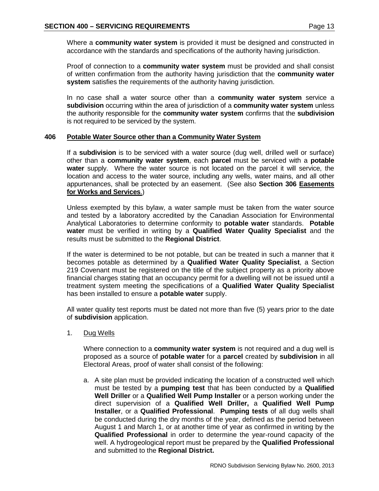Where a **community water system** is provided it must be designed and constructed in accordance with the standards and specifications of the authority having jurisdiction.

Proof of connection to a **community water system** must be provided and shall consist of written confirmation from the authority having jurisdiction that the **community water system** satisfies the requirements of the authority having jurisdiction.

In no case shall a water source other than a **community water system** service a **subdivision** occurring within the area of jurisdiction of a **community water system** unless the authority responsible for the **community water system** confirms that the **subdivision** is not required to be serviced by the system.

# **406 Potable Water Source other than a Community Water System**

If a **subdivision** is to be serviced with a water source (dug well, drilled well or surface) other than a **community water system**, each **parcel** must be serviced with a **potable water** supply. Where the water source is not located on the parcel it will service, the location and access to the water source, including any wells, water mains, and all other appurtenances, shall be protected by an easement. (See also **Section 306 Easements for Works and Services**.)

Unless exempted by this bylaw, a water sample must be taken from the water source and tested by a laboratory accredited by the Canadian Association for Environmental Analytical Laboratories to determine conformity to **potable water** standards. **Potable water** must be verified in writing by a **Qualified Water Quality Specialist** and the results must be submitted to the **Regional District**.

If the water is determined to be not potable, but can be treated in such a manner that it becomes potable as determined by a **Qualified Water Quality Specialist**, a Section 219 Covenant must be registered on the title of the subject property as a priority above financial charges stating that an occupancy permit for a dwelling will not be issued until a treatment system meeting the specifications of a **Qualified Water Quality Specialist** has been installed to ensure a **potable water** supply.

All water quality test reports must be dated not more than five (5) years prior to the date of **subdivision** application.

1. Dug Wells

Where connection to a **community water system** is not required and a dug well is proposed as a source of **potable water** for a **parcel** created by **subdivision** in all Electoral Areas, proof of water shall consist of the following:

a. A site plan must be provided indicating the location of a constructed well which must be tested by a **pumping test** that has been conducted by a **Qualified Well Driller** or a **Qualified Well Pump Installer** or a person working under the direct supervision of a **Qualified Well Driller,** a **Qualified Well Pump Installer**, or a **Qualified Professional**. **Pumping tests** of all dug wells shall be conducted during the dry months of the year, defined as the period between August 1 and March 1, or at another time of year as confirmed in writing by the **Qualified Professional** in order to determine the year-round capacity of the well. A hydrogeological report must be prepared by the **Qualified Professional** and submitted to the **Regional District.**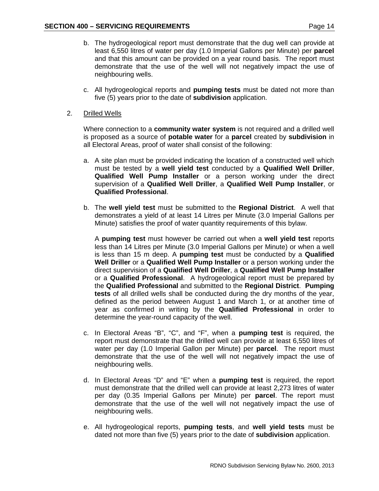- b. The hydrogeological report must demonstrate that the dug well can provide at least 6,550 litres of water per day (1.0 Imperial Gallons per Minute) per **parcel** and that this amount can be provided on a year round basis. The report must demonstrate that the use of the well will not negatively impact the use of neighbouring wells.
- c. All hydrogeological reports and **pumping tests** must be dated not more than five (5) years prior to the date of **subdivision** application.
- 2. Drilled Wells

Where connection to a **community water system** is not required and a drilled well is proposed as a source of **potable water** for a **parcel** created by **subdivision** in all Electoral Areas, proof of water shall consist of the following:

- a. A site plan must be provided indicating the location of a constructed well which must be tested by a **well yield test** conducted by a **Qualified Well Driller**, **Qualified Well Pump Installer** or a person working under the direct supervision of a **Qualified Well Driller**, a **Qualified Well Pump Installer**, or **Qualified Professional**.
- b. The **well yield test** must be submitted to the **Regional District**. A well that demonstrates a yield of at least 14 Litres per Minute (3.0 Imperial Gallons per Minute) satisfies the proof of water quantity requirements of this bylaw.

A **pumping test** must however be carried out when a **well yield test** reports less than 14 Litres per Minute (3.0 Imperial Gallons per Minute) or when a well is less than 15 m deep. A **pumping test** must be conducted by a **Qualified Well Driller** or a **Qualified Well Pump Installer** or a person working under the direct supervision of a **Qualified Well Driller**, a **Qualified Well Pump Installer** or a **Qualified Professional**. A hydrogeological report must be prepared by the **Qualified Professional** and submitted to the **Regional District**. **Pumping tests** of all drilled wells shall be conducted during the dry months of the year, defined as the period between August 1 and March 1, or at another time of year as confirmed in writing by the **Qualified Professional** in order to determine the year-round capacity of the well.

- c. In Electoral Areas "B", "C", and "F", when a **pumping test** is required, the report must demonstrate that the drilled well can provide at least 6,550 litres of water per day (1.0 Imperial Gallon per Minute) per **parcel**. The report must demonstrate that the use of the well will not negatively impact the use of neighbouring wells.
- d. In Electoral Areas "D" and "E" when a **pumping test** is required, the report must demonstrate that the drilled well can provide at least 2,273 litres of water per day (0.35 Imperial Gallons per Minute) per **parcel**. The report must demonstrate that the use of the well will not negatively impact the use of neighbouring wells.
- e. All hydrogeological reports, **pumping tests**, and **well yield tests** must be dated not more than five (5) years prior to the date of **subdivision** application.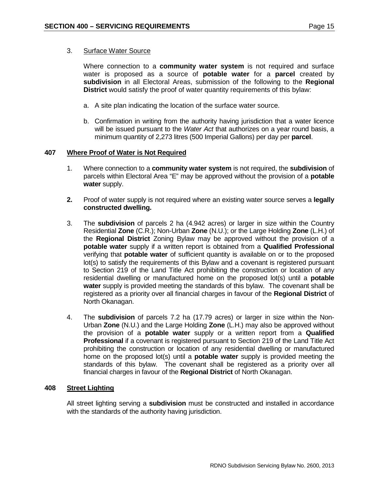Where connection to a **community water system** is not required and surface water is proposed as a source of **potable water** for a **parcel** created by **subdivision** in all Electoral Areas, submission of the following to the **Regional District** would satisfy the proof of water quantity requirements of this bylaw:

- a. A site plan indicating the location of the surface water source.
- b. Confirmation in writing from the authority having jurisdiction that a water licence will be issued pursuant to the *Water Act* that authorizes on a year round basis, a minimum quantity of 2,273 litres (500 Imperial Gallons) per day per **parcel**.

# **407 Where Proof of Water is Not Required**

- 1. Where connection to a **community water system** is not required, the **subdivision** of parcels within Electoral Area "E" may be approved without the provision of a **potable water** supply.
- **2.** Proof of water supply is not required where an existing water source serves a **legally constructed dwelling.**
- 3. The **subdivision** of parcels 2 ha (4.942 acres) or larger in size within the Country Residential **Zone** (C.R.); Non-Urban **Zone** (N.U.); or the Large Holding **Zone** (L.H.) of the **Regional District** Zoning Bylaw may be approved without the provision of a **potable water** supply if a written report is obtained from a **Qualified Professional** verifying that **potable water** of sufficient quantity is available on or to the proposed lot(s) to satisfy the requirements of this Bylaw and a covenant is registered pursuant to Section 219 of the Land Title Act prohibiting the construction or location of any residential dwelling or manufactured home on the proposed lot(s) until a **potable water** supply is provided meeting the standards of this bylaw. The covenant shall be registered as a priority over all financial charges in favour of the **Regional District** of North Okanagan.
- 4. The **subdivision** of parcels 7.2 ha (17.79 acres) or larger in size within the Non-Urban **Zone** (N.U.) and the Large Holding **Zone** (L.H.) may also be approved without the provision of a **potable water** supply or a written report from a **Qualified Professional** if a covenant is registered pursuant to Section 219 of the Land Title Act prohibiting the construction or location of any residential dwelling or manufactured home on the proposed lot(s) until a **potable water** supply is provided meeting the standards of this bylaw. The covenant shall be registered as a priority over all financial charges in favour of the **Regional District** of North Okanagan.

# **408 Street Lighting**

All street lighting serving a **subdivision** must be constructed and installed in accordance with the standards of the authority having jurisdiction.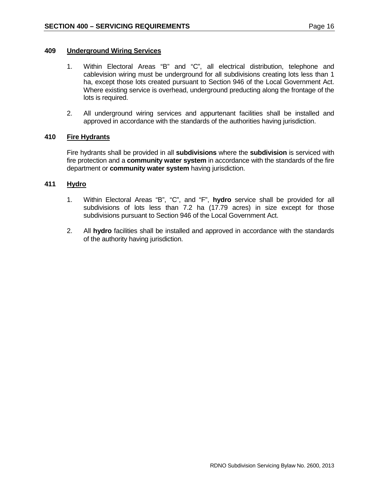- 1. Within Electoral Areas "B" and "C", all electrical distribution, telephone and cablevision wiring must be underground for all subdivisions creating lots less than 1 ha, except those lots created pursuant to Section 946 of the Local Government Act. Where existing service is overhead, underground preducting along the frontage of the lots is required.
- 2. All underground wiring services and appurtenant facilities shall be installed and approved in accordance with the standards of the authorities having jurisdiction.

# **410 Fire Hydrants**

Fire hydrants shall be provided in all **subdivisions** where the **subdivision** is serviced with fire protection and a **community water system** in accordance with the standards of the fire department or **community water system** having jurisdiction.

# **411 Hydro**

- 1. Within Electoral Areas "B", "C", and "F", **hydro** service shall be provided for all subdivisions of lots less than 7.2 ha (17.79 acres) in size except for those subdivisions pursuant to Section 946 of the Local Government Act.
- 2. All **hydro** facilities shall be installed and approved in accordance with the standards of the authority having jurisdiction.